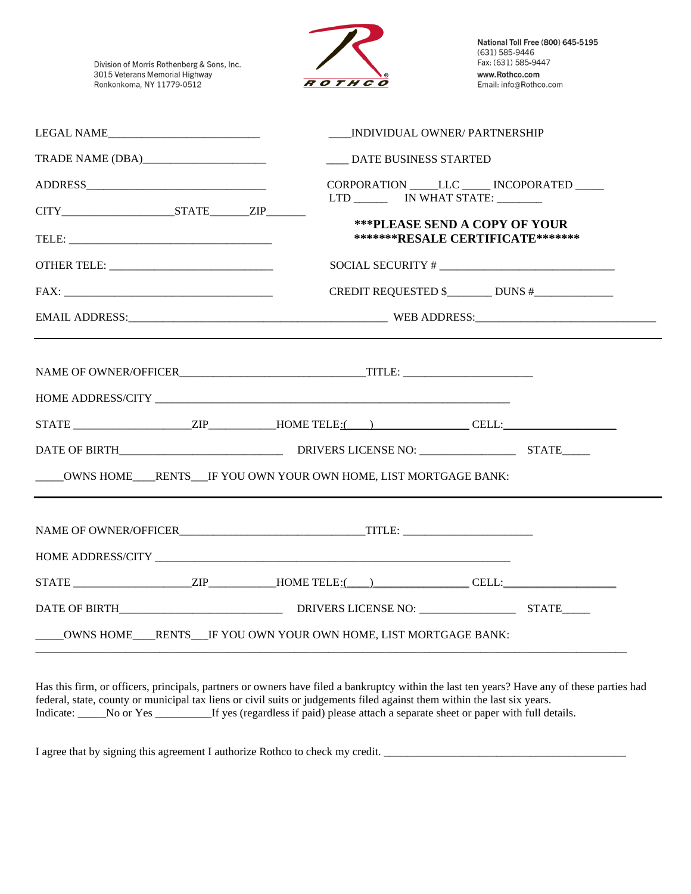Division of Morris Rothenberg & Sons, Inc. 3015 Veterans Memorial Highway Ronkonkoma, NY 11779-0512



National Toll Free (800) 645-5195 (631) 585-9446 Fax: (631) 585-9447 www.Rothco.com Email: info@Rothco.com

|                         | INDIVIDUAL OWNER/ PARTNERSHIP                                                                                                                                      |  |
|-------------------------|--------------------------------------------------------------------------------------------------------------------------------------------------------------------|--|
| TRADE NAME (DBA) [2000] | ____ DATE BUSINESS STARTED                                                                                                                                         |  |
|                         | CORPORATION _____LLC _____ INCOPORATED _____<br>LTD _________ IN WHAT STATE: ________<br><b>***PLEASE SEND A COPY OF YOUR</b><br>*******RESALE CERTIFICATE******** |  |
|                         | SOCIAL SECURITY #                                                                                                                                                  |  |
|                         | CREDIT REQUESTED \$_________ DUNS #_______________                                                                                                                 |  |
|                         |                                                                                                                                                                    |  |
|                         | $STATE$ $ZIP$ $HOME T ELE$ : $\qquad$ $CELL$ :<br>____OWNS HOME___RENTS___IF YOU OWN YOUR OWN HOME, LIST MORTGAGE BANK:                                            |  |
|                         |                                                                                                                                                                    |  |
|                         |                                                                                                                                                                    |  |
|                         |                                                                                                                                                                    |  |
|                         | ____OWNS HOME___RENTS__IF YOU OWN YOUR OWN HOME, LIST MORTGAGE BANK:                                                                                               |  |

Has this firm, or officers, principals, partners or owners have filed a bankruptcy within the last ten years? Have any of these parties had federal, state, county or municipal tax liens or civil suits or judgements filed against them within the last six years. Indicate: \_\_\_\_\_No or Yes \_\_\_\_\_\_\_\_\_\_If yes (regardless if paid) please attach a separate sheet or paper with full details.

I agree that by signing this agreement I authorize Rothco to check my credit. \_\_\_\_\_\_\_\_\_\_\_\_\_\_\_\_\_\_\_\_\_\_\_\_\_\_\_\_\_\_\_\_\_\_\_\_\_\_\_\_\_\_\_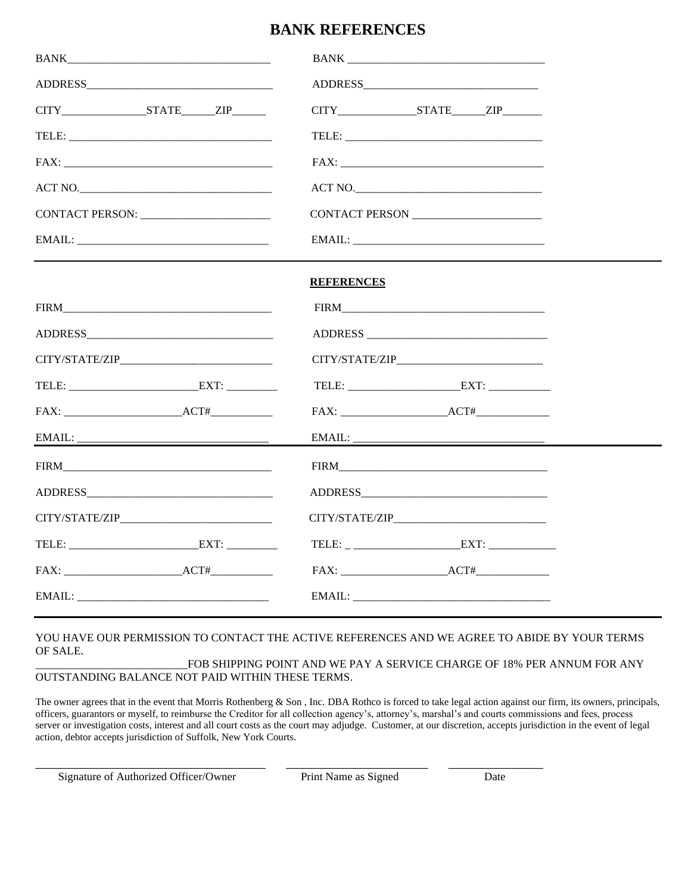## **BANK REFERENCES**

| EMAIL:            |
|-------------------|
| <b>REFERENCES</b> |
|                   |
|                   |
|                   |
|                   |
|                   |
|                   |
|                   |
|                   |
|                   |
|                   |
|                   |
| FAX: ACT#         |
|                   |

## YOU HAVE OUR PERMISSION TO CONTACT THE ACTIVE REFERENCES AND WE AGREE TO ABIDE BY YOUR TERMS OF SALE.

## FOB SHIPPING POINT AND WE PAY A SERVICE CHARGE OF 18% PER ANNUM FOR ANY OUTSTANDING BALANCE NOT PAID WITHIN THESE TERMS.

The owner agrees that in the event that Morris Rothenberg & Son, Inc. DBA Rothco is forced to take legal action against our firm, its owners, principals, officers, guarantors or myself, to reimburse the Creditor for all collection agency's, attorney's, marshal's and courts commissions and fees, process server or investigation costs, interest and all court costs as the court may adjudge. Customer, at our discretion, accepts jurisdiction in the event of legal action, debtor accepts jurisdiction of Suffolk, New York Courts.

Signature of Authorized Officer/Owner Print Name as Signed Date

\_\_\_\_\_\_\_\_\_\_\_\_\_\_\_\_\_\_\_\_\_\_\_\_\_\_\_\_\_\_\_\_\_\_ \_\_\_\_\_\_\_\_\_\_\_\_\_\_\_\_\_\_\_\_\_ \_\_\_\_\_\_\_\_\_\_\_\_\_\_